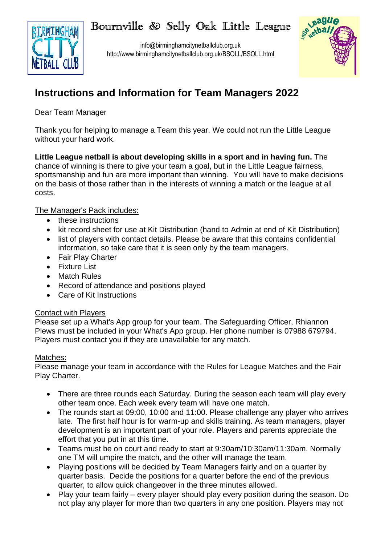# Bournville & Selly Oak Little League



info@birminghamcitynetballclub.org.uk http://www.birminghamcitynetballclub.org.uk/BSOLL/BSOLL.html



## **Instructions and Information for Team Managers 2022**

Dear Team Manager

Thank you for helping to manage a Team this year. We could not run the Little League without your hard work.

**Little League netball is about developing skills in a sport and in having fun.** The chance of winning is there to give your team a goal, but in the Little League fairness, sportsmanship and fun are more important than winning. You will have to make decisions on the basis of those rather than in the interests of winning a match or the league at all costs.

## The Manager's Pack includes:

- these instructions
- kit record sheet for use at Kit Distribution (hand to Admin at end of Kit Distribution)
- list of players with contact details. Please be aware that this contains confidential information, so take care that it is seen only by the team managers.
- Fair Play Charter
- Fixture List
- Match Rules
- Record of attendance and positions played
- Care of Kit Instructions

## Contact with Players

Please set up a What's App group for your team. The Safeguarding Officer, Rhiannon Plews must be included in your What's App group. Her phone number is 07988 679794. Players must contact you if they are unavailable for any match.

## Matches:

Please manage your team in accordance with the Rules for League Matches and the Fair Play Charter.

- There are three rounds each Saturday. During the season each team will play every other team once. Each week every team will have one match.
- The rounds start at 09:00, 10:00 and 11:00. Please challenge any player who arrives late. The first half hour is for warm-up and skills training. As team managers, player development is an important part of your role. Players and parents appreciate the effort that you put in at this time.
- Teams must be on court and ready to start at 9:30am/10:30am/11:30am. Normally one TM will umpire the match, and the other will manage the team.
- Playing positions will be decided by Team Managers fairly and on a quarter by quarter basis. Decide the positions for a quarter before the end of the previous quarter, to allow quick changeover in the three minutes allowed.
- Play your team fairly every player should play every position during the season. Do not play any player for more than two quarters in any one position. Players may not